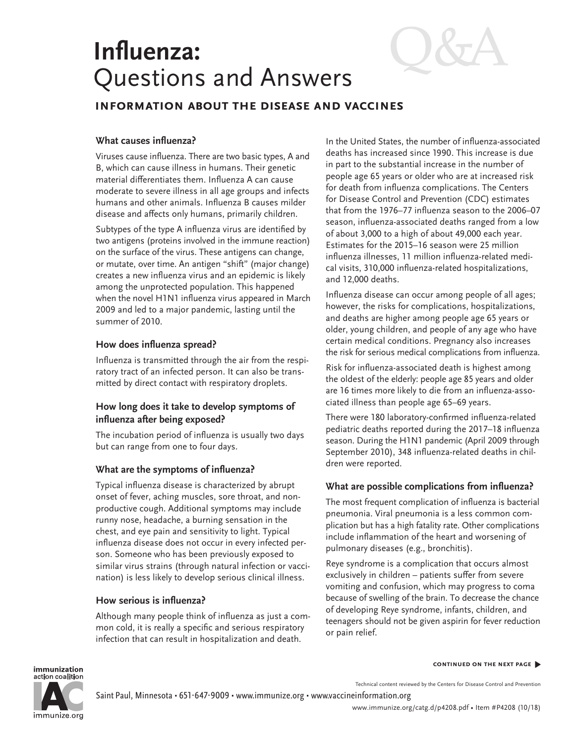# **Influenza:** Questions and Answers

# **information about the disease and vaccines**

#### **What causes influenza?**

Viruses cause influenza. There are two basic types, A and B, which can cause illness in humans. Their genetic material differentiates them. Influenza A can cause moderate to severe illness in all age groups and infects humans and other animals. Influenza B causes milder disease and affects only humans, primarily children.

Subtypes of the type A influenza virus are identified by two antigens (proteins involved in the immune reaction) on the surface of the virus. These antigens can change, or mutate, over time. An antigen "shift" (major change) creates a new influenza virus and an epidemic is likely among the unprotected population. This happened when the novel H1N1 influenza virus appeared in March 2009 and led to a major pandemic, lasting until the summer of 2010.

#### **How does influenza spread?**

Influenza is transmitted through the air from the respiratory tract of an infected person. It can also be transmitted by direct contact with respiratory droplets.

#### **How long does it take to develop symptoms of influenza after being exposed?**

The incubation period of influenza is usually two days but can range from one to four days.

#### **What are the symptoms of influenza?**

Typical influenza disease is characterized by abrupt onset of fever, aching muscles, sore throat, and nonproductive cough. Additional symptoms may include runny nose, headache, a burning sensation in the chest, and eye pain and sensitivity to light. Typical influenza disease does not occur in every infected person. Someone who has been previously exposed to similar virus strains (through natural infection or vaccination) is less likely to develop serious clinical illness.

#### **How serious is influenza?**

Although many people think of influenza as just a common cold, it is really a specific and serious respiratory infection that can result in hospitalization and death.

In the United States, the number of influenza-associated deaths has increased since 1990. This increase is due in part to the substantial increase in the number of people age 65 years or older who are at increased risk for death from influenza complications. The Centers for Disease Control and Prevention (CDC) estimates that from the 1976–77 influenza season to the 2006–07 season, influenza-associated deaths ranged from a low of about 3,000 to a high of about 49,000 each year. Estimates for the 2015–16 season were 25 million influenza illnesses, 11 million influenza-related medical visits, 310,000 influenza-related hospitalizations, and 12,000 deaths.

Influenza disease can occur among people of all ages; however, the risks for complications, hospitalizations, and deaths are higher among people age 65 years or older, young children, and people of any age who have certain medical conditions. Pregnancy also increases the risk for serious medical complications from influenza.

Risk for influenza-associated death is highest among the oldest of the elderly: people age 85 years and older are 16 times more likely to die from an influenza-associated illness than people age 65–69 years.

There were 180 laboratory-confirmed influenza-related pediatric deaths reported during the 2017–18 influenza season. During the H1N1 pandemic (April 2009 through September 2010), 348 influenza-related deaths in children were reported.

#### **What are possible complications from influenza?**

The most frequent complication of influenza is bacterial pneumonia. Viral pneumonia is a less common complication but has a high fatality rate. Other complications include inflammation of the heart and worsening of pulmonary diseases (e.g., bronchitis).

Reye syndrome is a complication that occurs almost exclusively in children – patients suffer from severe vomiting and confusion, which may progress to coma because of swelling of the brain. To decrease the chance of developing Reye syndrome, infants, children, and teenagers should not be given aspirin for fever reduction or pain relief.

#### **continued on the next page** �

action coalition immunize.org

immunization

Technical content reviewed by the Centers for Disease Control and Prevention

Saint Paul, Minnesota • 651-647-9009 • [www.immunize.org](http://www.immunize.org) • [www.vaccineinformation.org](http://www.vaccineinformation.org)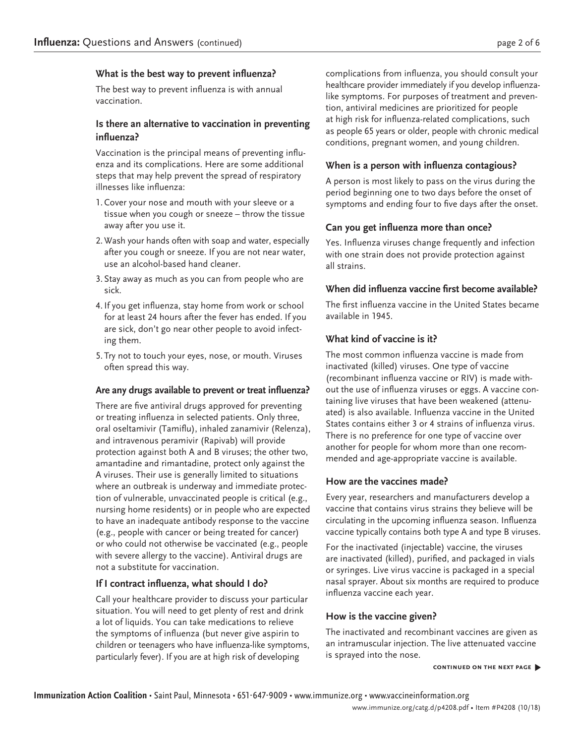## **What is the best way to prevent influenza?**

The best way to prevent influenza is with annual vaccination.

## **Is there an alternative to vaccination in preventing influenza?**

Vaccination is the principal means of preventing influenza and its complications. Here are some additional steps that may help prevent the spread of respiratory illnesses like influenza:

- 1. Cover your nose and mouth with your sleeve or a tissue when you cough or sneeze – throw the tissue away after you use it.
- 2. Wash your hands often with soap and water, especially after you cough or sneeze. If you are not near water, use an alcohol-based hand cleaner.
- 3. Stay away as much as you can from people who are sick.
- 4.If you get influenza, stay home from work or school for at least 24 hours after the fever has ended. If you are sick, don't go near other people to avoid infecting them.
- 5. Try not to touch your eyes, nose, or mouth. Viruses often spread this way.

#### **Are any drugs available to prevent or treat influenza?**

There are five antiviral drugs approved for preventing or treating influenza in selected patients. Only three, oral oseltamivir (Tamiflu), inhaled zanamivir (Relenza), and intravenous peramivir (Rapivab) will provide protection against both A and B viruses; the other two, amantadine and rimantadine, protect only against the A viruses. Their use is generally limited to situations where an outbreak is underway and immediate protection of vulnerable, unvaccinated people is critical (e.g., nursing home residents) or in people who are expected to have an inadequate antibody response to the vaccine (e.g., people with cancer or being treated for cancer) or who could not otherwise be vaccinated (e.g., people with severe allergy to the vaccine). Antiviral drugs are not a substitute for vaccination.

## **If I contract influenza, what should I do?**

Call your healthcare provider to discuss your particular situation. You will need to get plenty of rest and drink a lot of liquids. You can take medications to relieve the symptoms of influenza (but never give aspirin to children or teenagers who have influenza-like symptoms, particularly fever). If you are at high risk of developing

complications from influenza, you should consult your healthcare provider immediately if you develop influenzalike symptoms. For purposes of treatment and prevention, antiviral medicines are prioritized for people at high risk for influenza-related complications, such as people 65 years or older, people with chronic medical conditions, pregnant women, and young children.

## **When is a person with influenza contagious?**

A person is most likely to pass on the virus during the period beginning one to two days before the onset of symptoms and ending four to five days after the onset.

## **Can you get influenza more than once?**

Yes. Influenza viruses change frequently and infection with one strain does not provide protection against all strains.

## **When did influenza vaccine first become available?**

The first influenza vaccine in the United States became available in 1945.

## **What kind of vaccine is it?**

The most common influenza vaccine is made from inactivated (killed) viruses. One type of vaccine (recombinant influenza vaccine or RIV) is made without the use of influenza viruses or eggs. A vaccine containing live viruses that have been weakened (attenuated) is also available. Influenza vaccine in the United States contains either 3 or 4 strains of influenza virus. There is no preference for one type of vaccine over another for people for whom more than one recommended and age-appropriate vaccine is available.

#### **How are the vaccines made?**

Every year, researchers and manufacturers develop a vaccine that contains virus strains they believe will be circulating in the upcoming influenza season. Influenza vaccine typically contains both type A and type B viruses.

For the inactivated (injectable) vaccine, the viruses are inactivated (killed), purified, and packaged in vials or syringes. Live virus vaccine is packaged in a special nasal sprayer. About six months are required to produce influenza vaccine each year.

#### **How is the vaccine given?**

The inactivated and recombinant vaccines are given as an intramuscular injection. The live attenuated vaccine is sprayed into the nose.

**continued on the next page** �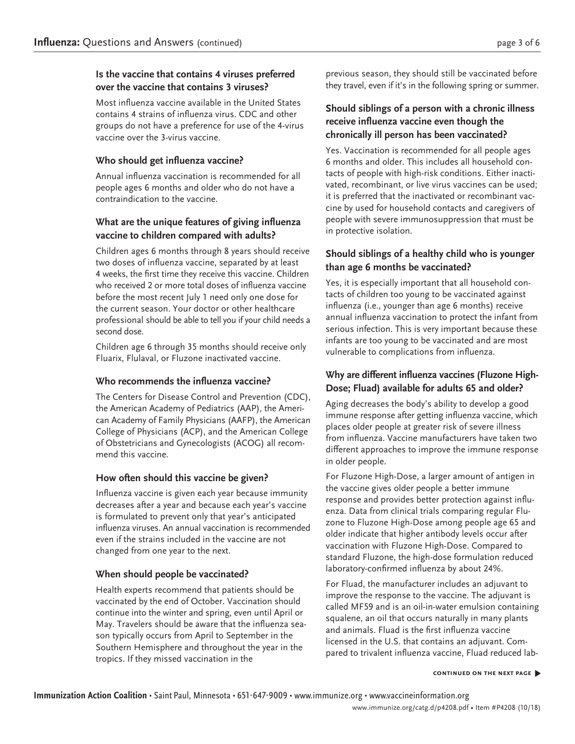## **Is the vaccine that contains 4 viruses preferred over the vaccine that contains 3 viruses?**

Most influenza vaccine available in the United States contains 4 strains of influenza virus. CDC and other groups do not have a preference for use of the 4-virus vaccine over the 3-virus vaccine.

## **Who should get influenza vaccine?**

Annual influenza vaccination is recommended for all people ages 6 months and older who do not have a contraindication to the vaccine.

## **What are the unique features of giving influenza vaccine to children compared with adults?**

Children ages 6 months through 8 years should receive two doses of influenza vaccine, separated by at least 4 weeks, the first time they receive this vaccine. Children who received 2 or more total doses of influenza vaccine before the most recent July 1 need only one dose for the current season. Your doctor or other healthcare professional should be able to tell you if your child needs a second dose.

Children age 6 through 35 months should receive only Fluarix, Flulaval, or Fluzone inactivated vaccine.

#### **Who recommends the influenza vaccine?**

The Centers for Disease Control and Prevention (CDC), the American Academy of Pediatrics (AAP), the American Academy of Family Physicians (AAFP), the American College of Physicians (ACP), and the American College of Obstetricians and Gynecologists (ACOG) all recommend this vaccine.

## **How often should this vaccine be given?**

Influenza vaccine is given each year because immunity decreases after a year and because each year's vaccine is formulated to prevent only that year's anticipated influenza viruses. An annual vaccination is recommended even if the strains included in the vaccine are not changed from one year to the next.

## **When should people be vaccinated?**

Health experts recommend that patients should be vaccinated by the end of October. Vaccination should continue into the winter and spring, even until April or May. Travelers should be aware that the influenza season typically occurs from April to September in the Southern Hemisphere and throughout the year in the tropics. If they missed vaccination in the

previous season, they should still be vaccinated before they travel, even if it's in the following spring or summer.

## **Should siblings of a person with a chronic illness receive influenza vaccine even though the chronically ill person has been vaccinated?**

Yes. Vaccination is recommended for all people ages 6 months and older. This includes all household contacts of people with high-risk conditions. Either inactivated, recombinant, or live virus vaccines can be used; it is preferred that the inactivated or recombinant vaccine by used for household contacts and caregivers of people with severe immunosuppression that must be in protective isolation.

## **Should siblings of a healthy child who is younger than age 6 months be vaccinated?**

Yes, it is especially important that all household contacts of children too young to be vaccinated against influenza (i.e., younger than age 6 months) receive annual influenza vaccination to protect the infant from serious infection. This is very important because these infants are too young to be vaccinated and are most vulnerable to complications from influenza.

## **Why are different influenza vaccines (Fluzone High-Dose; Fluad) available for adults 65 and older?**

Aging decreases the body's ability to develop a good immune response after getting influenza vaccine, which places older people at greater risk of severe illness from influenza. Vaccine manufacturers have taken two different approaches to improve the immune response in older people.

For Fluzone High-Dose, a larger amount of antigen in the vaccine gives older people a better immune response and provides better protection against influenza. Data from clinical trials comparing regular Fluzone to Fluzone High-Dose among people age 65 and older indicate that higher antibody levels occur after vaccination with Fluzone High-Dose. Compared to standard Fluzone, the high-dose formulation reduced laboratory-confirmed influenza by about 24%.

For Fluad, the manufacturer includes an adjuvant to improve the response to the vaccine. The adjuvant is called MF59 and is an oil-in-water emulsion containing squalene, an oil that occurs naturally in many plants and animals. Fluad is the first influenza vaccine licensed in the U.S. that contains an adjuvant. Compared to trivalent influenza vaccine, Fluad reduced lab-

#### **continued on the next page** �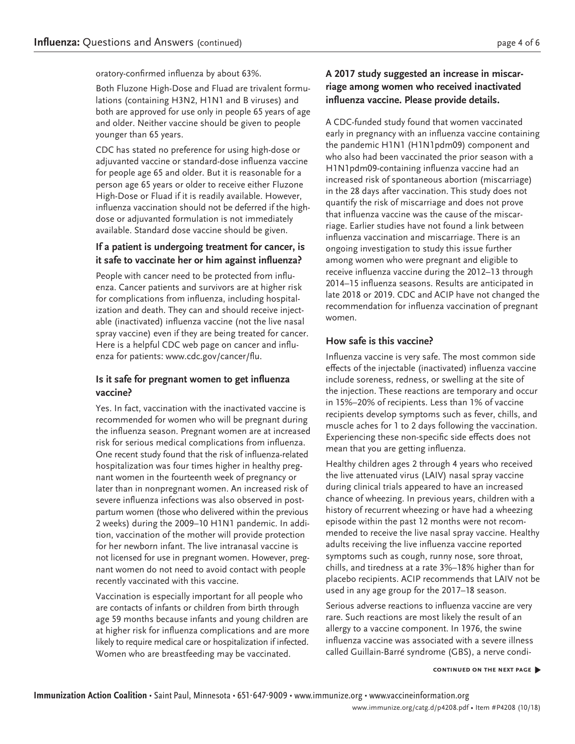oratory-confirmed influenza by about 63%.

Both Fluzone High-Dose and Fluad are trivalent formulations (containing H3N2, H1N1 and B viruses) and both are approved for use only in people 65 years of age and older. Neither vaccine should be given to people younger than 65 years.

CDC has stated no preference for using high-dose or adjuvanted vaccine or standard-dose influenza vaccine for people age 65 and older. But it is reasonable for a person age 65 years or older to receive either Fluzone High-Dose or Fluad if it is readily available. However, influenza vaccination should not be deferred if the highdose or adjuvanted formulation is not immediately available. Standard dose vaccine should be given.

## **If a patient is undergoing treatment for cancer, is it safe to vaccinate her or him against influenza?**

People with cancer need to be protected from influenza. Cancer patients and survivors are at higher risk for complications from influenza, including hospitalization and death. They can and should receive injectable (inactivated) influenza vaccine (not the live nasal spray vaccine) even if they are being treated for cancer. Here is a helpful CDC web page on cancer and influenza for patients: [www.cdc.gov/cancer/flu](http://www.cdc.gov/cancer/flu).

## **Is it safe for pregnant women to get influenza vaccine?**

Yes. In fact, vaccination with the inactivated vaccine is recommended for women who will be pregnant during the influenza season. Pregnant women are at increased risk for serious medical complications from influenza. One recent study found that the risk of influenza-related hospitalization was four times higher in healthy pregnant women in the fourteenth week of pregnancy or later than in nonpregnant women. An increased risk of severe influenza infections was also observed in postpartum women (those who delivered within the previous 2 weeks) during the 2009–10 H1N1 pandemic. In addition, vaccination of the mother will provide protection for her newborn infant. The live intranasal vaccine is not licensed for use in pregnant women. However, pregnant women do not need to avoid contact with people recently vaccinated with this vaccine.

Vaccination is especially important for all people who are contacts of infants or children from birth through age 59 months because infants and young children are at higher risk for influenza complications and are more likely to require medical care or hospitalization if infected. Women who are breastfeeding may be vaccinated.

# **A 2017 study suggested an increase in miscarriage among women who received inactivated influenza vaccine. Please provide details.**

A CDC-funded study found that women vaccinated early in pregnancy with an influenza vaccine containing the pandemic H1N1 (H1N1pdm09) component and who also had been vaccinated the prior season with a H1N1pdm09-containing influenza vaccine had an increased risk of spontaneous abortion (miscarriage) in the 28 days after vaccination. This study does not quantify the risk of miscarriage and does not prove that influenza vaccine was the cause of the miscarriage. Earlier studies have not found a link between influenza vaccination and miscarriage. There is an ongoing investigation to study this issue further among women who were pregnant and eligible to receive influenza vaccine during the 2012–13 through 2014–15 influenza seasons. Results are anticipated in late 2018 or 2019. CDC and ACIP have not changed the recommendation for influenza vaccination of pregnant women.

# **How safe is this vaccine?**

Influenza vaccine is very safe. The most common side effects of the injectable (inactivated) influenza vaccine include soreness, redness, or swelling at the site of the injection. These reactions are temporary and occur in 15%–20% of recipients. Less than 1% of vaccine recipients develop symptoms such as fever, chills, and muscle aches for 1 to 2 days following the vaccination. Experiencing these non-specific side effects does not mean that you are getting influenza.

Healthy children ages 2 through 4 years who received the live attenuated virus (LAIV) nasal spray vaccine during clinical trials appeared to have an increased chance of wheezing. In previous years, children with a history of recurrent wheezing or have had a wheezing episode within the past 12 months were not recommended to receive the live nasal spray vaccine. Healthy adults receiving the live influenza vaccine reported symptoms such as cough, runny nose, sore throat, chills, and tiredness at a rate 3%–18% higher than for placebo recipients. ACIP recommends that LAIV not be used in any age group for the 2017–18 season.

Serious adverse reactions to influenza vaccine are very rare. Such reactions are most likely the result of an allergy to a vaccine component. In 1976, the swine influenza vaccine was associated with a severe illness called Guillain-Barré syndrome (GBS), a nerve condi-

#### **continued on the next page** �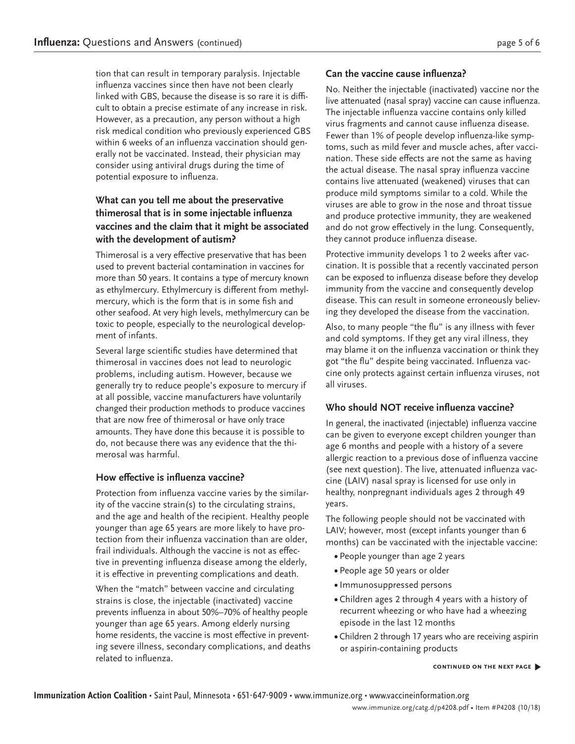tion that can result in temporary paralysis. Injectable influenza vaccines since then have not been clearly linked with GBS, because the disease is so rare it is difficult to obtain a precise estimate of any increase in risk. However, as a precaution, any person without a high risk medical condition who previously experienced GBS within 6 weeks of an influenza vaccination should generally not be vaccinated. Instead, their physician may consider using antiviral drugs during the time of potential exposure to influenza.

## **What can you tell me about the preservative thimerosal that is in some injectable influenza vaccines and the claim that it might be associated with the development of autism?**

Thimerosal is a very effective preservative that has been used to prevent bacterial contamination in vaccines for more than 50 years. It contains a type of mercury known as ethylmercury. Ethylmercury is different from methylmercury, which is the form that is in some fish and other seafood. At very high levels, methylmercury can be toxic to people, especially to the neurological development of infants.

Several large scientific studies have determined that thimerosal in vaccines does not lead to neurologic problems, including autism. However, because we generally try to reduce people's exposure to mercury if at all possible, vaccine manufacturers have voluntarily changed their production methods to produce vaccines that are now free of thimerosal or have only trace amounts. They have done this because it is possible to do, not because there was any evidence that the thimerosal was harmful.

## **How effective is influenza vaccine?**

Protection from influenza vaccine varies by the similarity of the vaccine strain(s) to the circulating strains, and the age and health of the recipient. Healthy people younger than age 65 years are more likely to have protection from their influenza vaccination than are older, frail individuals. Although the vaccine is not as effective in preventing influenza disease among the elderly, it is effective in preventing complications and death.

When the "match" between vaccine and circulating strains is close, the injectable (inactivated) vaccine prevents influenza in about 50%–70% of healthy people younger than age 65 years. Among elderly nursing home residents, the vaccine is most effective in preventing severe illness, secondary complications, and deaths related to influenza.

## **Can the vaccine cause influenza?**

No. Neither the injectable (inactivated) vaccine nor the live attenuated (nasal spray) vaccine can cause influenza. The injectable influenza vaccine contains only killed virus fragments and cannot cause influenza disease. Fewer than 1% of people develop influenza-like symptoms, such as mild fever and muscle aches, after vaccination. These side effects are not the same as having the actual disease. The nasal spray influenza vaccine contains live attenuated (weakened) viruses that can produce mild symptoms similar to a cold. While the viruses are able to grow in the nose and throat tissue and produce protective immunity, they are weakened and do not grow effectively in the lung. Consequently, they cannot produce influenza disease.

Protective immunity develops 1 to 2 weeks after vaccination. It is possible that a recently vaccinated person can be exposed to influenza disease before they develop immunity from the vaccine and consequently develop disease. This can result in someone erroneously believing they developed the disease from the vaccination.

Also, to many people "the flu" is any illness with fever and cold symptoms. If they get any viral illness, they may blame it on the influenza vaccination or think they got "the flu" despite being vaccinated. Influenza vaccine only protects against certain influenza viruses, not all viruses.

#### **Who should NOT receive influenza vaccine?**

In general, the inactivated (injectable) influenza vaccine can be given to everyone except children younger than age 6 months and people with a history of a severe allergic reaction to a previous dose of influenza vaccine (see next question). The live, attenuated influenza vaccine (LAIV) nasal spray is licensed for use only in healthy, nonpregnant individuals ages 2 through 49 years.

The following people should not be vaccinated with LAIV; however, most (except infants younger than 6 months) can be vaccinated with the injectable vaccine:

- People younger than age 2 years
- People age 50 years or older
- Immunosuppressed persons
- Children ages 2 through 4 years with a history of recurrent wheezing or who have had a wheezing episode in the last 12 months
- Children 2 through 17 years who are receiving aspirin or aspirin-containing products

```
continued on the next page �
```